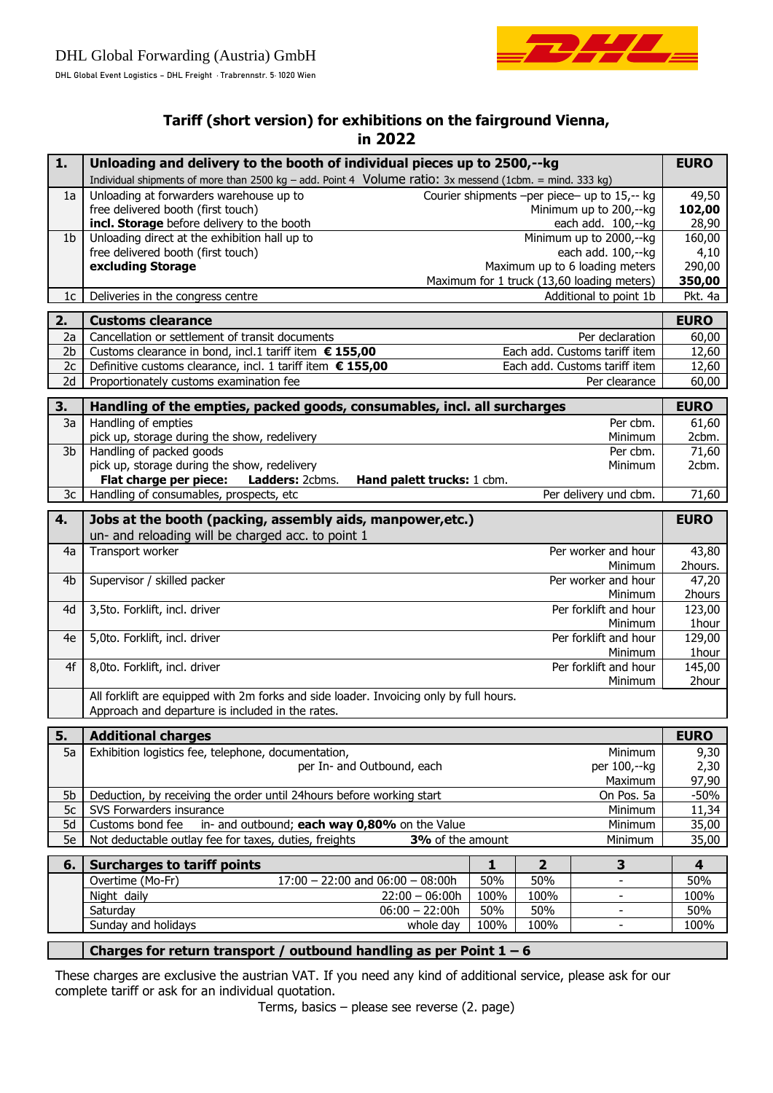

## **Tariff (short version) for exhibitions on the fairground Vienna, in 2022**

| 1.             | Unloading and delivery to the booth of individual pieces up to 2500,--kg                                   |                                  |                |                                              |                         |  |  |
|----------------|------------------------------------------------------------------------------------------------------------|----------------------------------|----------------|----------------------------------------------|-------------------------|--|--|
|                | Individual shipments of more than 2500 kg - add. Point 4 Volume ratio: $3x$ messend (1cbm. = mind. 333 kg) |                                  |                |                                              |                         |  |  |
| 1a             | Unloading at forwarders warehouse up to                                                                    |                                  |                | Courier shipments -per piece- up to 15,-- kg | 49,50                   |  |  |
|                | free delivered booth (first touch)                                                                         |                                  |                | Minimum up to 200,--kg                       | 102,00                  |  |  |
|                | incl. Storage before delivery to the booth                                                                 |                                  |                | each add. 100,--kg                           | 28,90                   |  |  |
| 1 <sub>b</sub> | Unloading direct at the exhibition hall up to                                                              |                                  |                | Minimum up to 2000,--kg                      | 160,00                  |  |  |
|                | free delivered booth (first touch)                                                                         |                                  |                | each add. 100,--kg                           | 4,10                    |  |  |
|                | excluding Storage                                                                                          |                                  |                | Maximum up to 6 loading meters               | 290,00                  |  |  |
|                |                                                                                                            |                                  |                | Maximum for 1 truck (13,60 loading meters)   | 350,00                  |  |  |
| 1c             | Deliveries in the congress centre                                                                          |                                  |                | Additional to point 1b                       | Pkt. 4a                 |  |  |
| 2.             | <b>Customs clearance</b>                                                                                   |                                  |                |                                              | <b>EURO</b>             |  |  |
| 2a             | Cancellation or settlement of transit documents                                                            | Per declaration                  |                |                                              | 60,00                   |  |  |
| 2 <sub>b</sub> | Customs clearance in bond, incl.1 tariff item € 155,00                                                     | Each add. Customs tariff item    |                |                                              | 12,60                   |  |  |
| 2c             | Definitive customs clearance, incl. 1 tariff item € 155,00                                                 | Each add. Customs tariff item    |                |                                              | 12,60<br>60,00          |  |  |
| 2d             | Proportionately customs examination fee<br>Per clearance                                                   |                                  |                |                                              |                         |  |  |
| 3.             | Handling of the empties, packed goods, consumables, incl. all surcharges                                   |                                  |                |                                              | <b>EURO</b>             |  |  |
| 3a             | Handling of empties                                                                                        |                                  |                | Per cbm.                                     | 61,60                   |  |  |
|                | pick up, storage during the show, redelivery                                                               |                                  |                | Minimum                                      | 2cbm.                   |  |  |
| 3b             | Handling of packed goods                                                                                   |                                  |                | Per cbm.                                     | 71,60                   |  |  |
|                | pick up, storage during the show, redelivery                                                               |                                  |                | Minimum                                      | 2cbm.                   |  |  |
|                | Flat charge per piece:<br>Ladders: 2cbms.<br>Hand palett trucks: 1 cbm.                                    |                                  |                |                                              |                         |  |  |
| 3c             | Per delivery und cbm.<br>Handling of consumables, prospects, etc                                           |                                  |                |                                              |                         |  |  |
| 4.             | Jobs at the booth (packing, assembly aids, manpower, etc.)<br><b>EURO</b>                                  |                                  |                |                                              |                         |  |  |
|                | un- and reloading will be charged acc. to point 1                                                          |                                  |                |                                              |                         |  |  |
| 4a             | Transport worker                                                                                           |                                  |                | Per worker and hour                          | 43,80                   |  |  |
|                |                                                                                                            | Minimum                          |                |                                              | 2hours.                 |  |  |
| 4 <sub>b</sub> | Supervisor / skilled packer                                                                                | Per worker and hour              |                |                                              | 47,20                   |  |  |
|                |                                                                                                            | Minimum                          |                |                                              | 2hours                  |  |  |
| 4d             | 3,5to. Forklift, incl. driver                                                                              | Per forklift and hour<br>Minimum |                |                                              | 123,00<br>1hour         |  |  |
| 4e             | 5,0to. Forklift, incl. driver                                                                              | Per forklift and hour            |                |                                              | 129,00                  |  |  |
|                |                                                                                                            | Minimum                          |                |                                              | 1hour                   |  |  |
| 4f             | 8,0to. Forklift, incl. driver                                                                              | Per forklift and hour            |                |                                              |                         |  |  |
|                |                                                                                                            | Minimum                          |                |                                              |                         |  |  |
|                | 2hour<br>All forklift are equipped with 2m forks and side loader. Invoicing only by full hours.            |                                  |                |                                              |                         |  |  |
|                | Approach and departure is included in the rates.                                                           |                                  |                |                                              |                         |  |  |
| 5.             | <b>Additional charges</b>                                                                                  |                                  |                |                                              | <b>EURO</b>             |  |  |
| 5a             | Exhibition logistics fee, telephone, documentation,                                                        |                                  |                | Minimum                                      | 9,30                    |  |  |
|                | per In- and Outbound, each                                                                                 |                                  |                | per 100,--kg                                 | 2,30                    |  |  |
|                |                                                                                                            |                                  |                | Maximum                                      | 97,90                   |  |  |
| 5b             | Deduction, by receiving the order until 24hours before working start                                       |                                  |                | On Pos. 5a                                   | $-50%$                  |  |  |
| 5c             | SVS Forwarders insurance                                                                                   |                                  |                | Minimum                                      | 11,34                   |  |  |
| 5d             | in- and outbound; each way 0,80% on the Value<br>Customs bond fee                                          | Minimum                          |                |                                              | 35,00<br>35,00          |  |  |
| 5e             | Not deductable outlay fee for taxes, duties, freights<br>3% of the amount<br>Minimum                       |                                  |                |                                              |                         |  |  |
| 6.             | <b>Surcharges to tariff points</b>                                                                         | $\mathbf{1}$                     | $\overline{2}$ | $\overline{\mathbf{3}}$                      | $\overline{\mathbf{4}}$ |  |  |
|                | Overtime (Mo-Fr)<br>$17:00 - 22:00$ and $06:00 - 08:00h$                                                   | 50%                              | 50%            |                                              | 50%                     |  |  |
|                | $\overline{22:}00 - 06:00h$<br>Night daily                                                                 | 100%                             | 100%           |                                              | 100%                    |  |  |
|                | $06:00 - 22:00h$<br>Saturday                                                                               | 50%                              | 50%            |                                              | 50%                     |  |  |
|                | Sunday and holidays<br>whole day                                                                           | 100%                             | 100%           | $\blacksquare$                               | 100%                    |  |  |
|                | Charges for return transport / outbound handling as per Point $1 - 6$                                      |                                  |                |                                              |                         |  |  |

These charges are exclusive the austrian VAT. If you need any kind of additional service, please ask for our complete tariff or ask for an individual quotation.

Terms, basics – please see reverse (2. page)